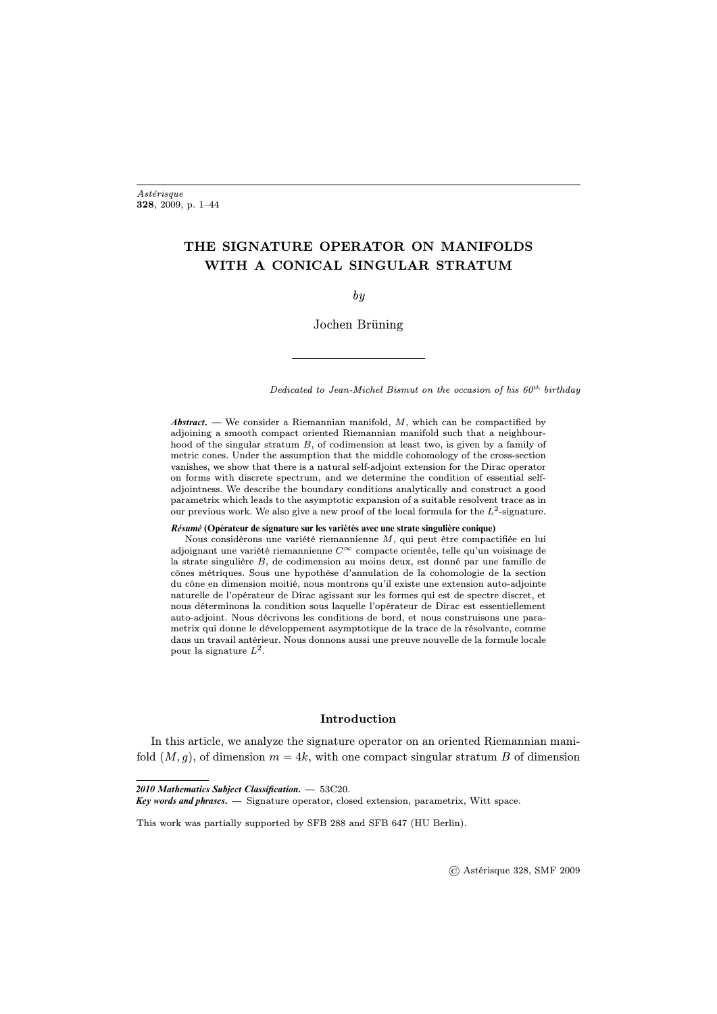# <span id="page-0-0"></span>THE SIGNATURE OPERATOR ON MANIFOLDS WITH A CONICAL SINGULAR STRATUM

by

Jochen Brüning

Dedicated to Jean-Michel Bismut on the occasion of his  $60<sup>th</sup>$  birthday

*Abstract***. —** We consider a Riemannian manifold, M, which can be compactified by adjoining a smooth compact oriented Riemannian manifold such that a neighbourhood of the singular stratum B, of codimension at least two, is given by a family of metric cones. Under the assumption that the middle cohomology of the cross-section vanishes, we show that there is a natural self-adjoint extension for the Dirac operator on forms with discrete spectrum, and we determine the condition of essential selfadjointness. We describe the boundary conditions analytically and construct a good parametrix which leads to the asymptotic expansion of a suitable resolvent trace as in our previous work. We also give a new proof of the local formula for the  $L^2$ -signature.

#### *Résumé* **(Opérateur de signature sur les variétés avec une strate singulière conique)**

Nous considèrons une variété riemannienne M, qui peut être compactifiée en lui adjoignant une variété riemannienne  $C^{\infty}$  compacte orientée, telle qu'un voisinage de la strate singulière B, de codimension au moins deux, est donné par une famille de cônes métriques. Sous une hypothèse d'annulation de la cohomologie de la section du cône en dimension moitié, nous montrons qu'il existe une extension auto-adjointe naturelle de l'opérateur de Dirac agissant sur les formes qui est de spectre discret, et nous déterminons la condition sous laquelle l'opérateur de Dirac est essentiellement auto-adjoint. Nous décrivons les conditions de bord, et nous construisons une parametrix qui donne le développement asymptotique de la trace de la résolvante, comme dans un travail antérieur. Nous donnons aussi une preuve nouvelle de la formule locale pour la signature  $L^2$ .

## Introduction

In this article, we analyze the signature operator on an oriented Riemannian manifold  $(M, g)$ , of dimension  $m = 4k$ , with one compact singular stratum B of dimension

*<sup>2010</sup> Mathematics Subject Classification***. —** 53C20.

*Key words and phrases***. —** Signature operator, closed extension, parametrix, Witt space.

This work was partially supported by SFB 288 and SFB 647 (HU Berlin).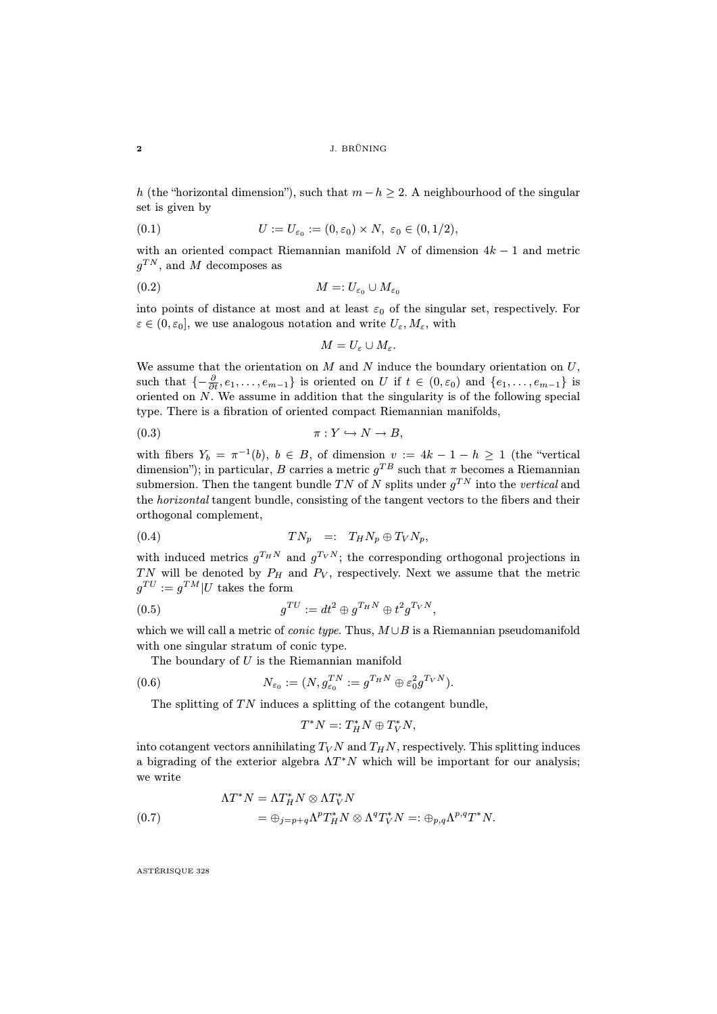h (the "horizontal dimension"), such that  $m - h \geq 2$ . A neighbourhood of the singular set is given by

(0.1) 
$$
U := U_{\varepsilon_0} := (0, \varepsilon_0) \times N, \ \varepsilon_0 \in (0, 1/2),
$$

with an oriented compact Riemannian manifold  $N$  of dimension  $4k - 1$  and metric  $g^{TN}$ , and M decomposes as

$$
(0.2) \t\t\t M =: U_{\varepsilon_0} \cup M_{\varepsilon_0}
$$

into points of distance at most and at least  $\varepsilon_0$  of the singular set, respectively. For  $\varepsilon \in (0, \varepsilon_0]$ , we use analogous notation and write  $U_{\varepsilon}, M_{\varepsilon}$ , with

<span id="page-1-1"></span>
$$
M=U_{\varepsilon}\cup M_{\varepsilon}.
$$

We assume that the orientation on  $M$  and  $N$  induce the boundary orientation on  $U$ , such that  $\{-\frac{\partial}{\partial t}, e_1, \ldots, e_{m-1}\}$  is oriented on U if  $t \in (0, \varepsilon_0)$  and  $\{e_1, \ldots, e_{m-1}\}$  is oriented on  $N$ . We assume in addition that the singularity is of the following special type. There is a fibration of oriented compact Riemannian manifolds,

$$
\pi: Y \hookrightarrow N \to B,
$$

with fibers  $Y_b = \pi^{-1}(b)$ ,  $b \in B$ , of dimension  $v := 4k - 1 - h \ge 1$  (the "vertical dimension"); in particular, B carries a metric  $g^{TB}$  such that  $\pi$  becomes a Riemannian submersion. Then the tangent bundle TN of N splits under  $g^{TN}$  into the vertical and the horizontal tangent bundle, consisting of the tangent vectors to the fibers and their orthogonal complement,

<span id="page-1-0"></span>
$$
(0.4) \t\t T N_p =: T_H N_p \oplus T_V N_p,
$$

with induced metrics  $g^{T_H N}$  and  $g^{T_V N}$ ; the corresponding orthogonal projections in TN will be denoted by  $P_H$  and  $P_V$ , respectively. Next we assume that the metric  $g^{TU} := g^{TM} | U$  takes the form

$$
(0.5) \t\t g^{TU} := dt^2 \oplus g^{T_H N} \oplus t^2 g^{T_V N},
$$

which we will call a metric of *conic type*. Thus,  $M \cup B$  is a Riemannian pseudomanifold with one singular stratum of conic type.

The boundary of U is the Riemannian manifold

(0.6) 
$$
N_{\varepsilon_0} := (N, g_{\varepsilon_0}^{TN} := g^{T_H N} \oplus \varepsilon_0^2 g^{T_V N}).
$$

The splitting of  $TN$  induces a splitting of the cotangent bundle,

$$
T^*N=:T_H^*N\oplus T_V^*N,
$$

into cotangent vectors annihilating  $T_V N$  and  $T_H N$ , respectively. This splitting induces a bigrading of the exterior algebra  $\Lambda T^*N$  which will be important for our analysis; we write

(0.7) 
$$
\Lambda T^* N = \Lambda T_H^* N \otimes \Lambda T_V^* N
$$

$$
= \oplus_{j=p+q} \Lambda^p T_H^* N \otimes \Lambda^q T_V^* N =: \oplus_{p,q} \Lambda^{p,q} T^* N.
$$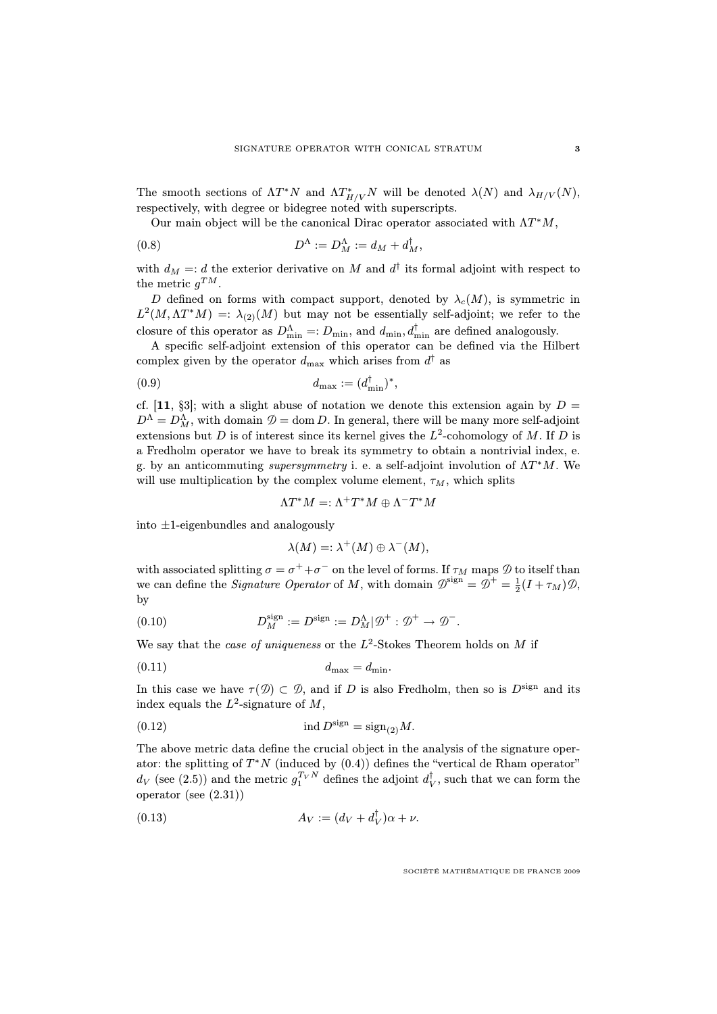The smooth sections of  $\Lambda T^*N$  and  $\Lambda T^*_{H/V}N$  will be denoted  $\lambda(N)$  and  $\lambda_{H/V}(N)$ , respectively, with degree or bidegree noted with superscripts.

Our main object will be the canonical Dirac operator associated with  $\Lambda T^*M$ ,

(0.8) 
$$
D^{\Lambda} := D^{\Lambda}_M := d_M + d^{\dagger}_M,
$$

with  $d_M =: d$  the exterior derivative on M and  $d^{\dagger}$  its formal adjoint with respect to the metric  $g^{TM}$ .

D defined on forms with compact support, denoted by  $\lambda_c(M)$ , is symmetric in  $L^2(M, \Lambda T^*M) =: \lambda_{(2)}(M)$  but may not be essentially self-adjoint; we refer to the closure of this operator as  $D_{\min}^{\Lambda} =: D_{\min}$ , and  $d_{\min}$ ,  $d_{\min}^{\dagger}$  are defined analogously.

A specific self-adjoint extension of this operator can be defined via the Hilbert complex given by the operator  $d_{\text{max}}$  which arises from  $d^{\dagger}$  as

$$
(0.9) \t\t d_{\max} := (d_{\min}^{\dagger})^*,
$$

cf. [[11](#page-0-0), §3]; with a slight abuse of notation we denote this extension again by  $D =$  $D^{\Lambda} = D^{\Lambda}_M$ , with domain  $\mathcal{D} = \text{dom } D$ . In general, there will be many more self-adjoint extensions but D is of interest since its kernel gives the  $L^2$ -cohomology of M. If D is a Fredholm operator we have to break its symmetry to obtain a nontrivial index, e. g. by an anticommuting *supersymmetry* i. e. a self-adjoint involution of  $\Lambda T^*M$ . We will use multiplication by the complex volume element,  $\tau_M$ , which splits

 $\Lambda T^*M =: \Lambda^+T^*M \oplus \Lambda^-T^*M$ 

into ±1-eigenbundles and analogously

$$
\lambda(M) =: \lambda^+(M) \oplus \lambda^-(M),
$$

with associated splitting  $\sigma = \sigma^+ + \sigma^-$  on the level of forms. If  $\tau_M$  maps  $\mathcal D$  to itself than we can define the *Signature Operator* of M, with domain  $\mathcal{D}^{\text{sign}} = \mathcal{D}^+ = \frac{1}{2}(I + \tau_M)\mathcal{D}$ , by

(0.10) 
$$
D_M^{\text{sign}} := D^{\text{sign}} := D_M^{\Lambda} | \mathcal{D}^+ : \mathcal{D}^+ \to \mathcal{D}^-.
$$

We say that the *case of uniqueness* or the  $L^2$ -Stokes Theorem holds on M if

$$
d_{\max} = d_{\min}.
$$

In this case we have  $\tau(\mathcal{D}) \subset \mathcal{D}$ , and if D is also Fredholm, then so is  $D^{\text{sign}}$  and its index equals the  $L^2$ -signature of M,

(0.12) 
$$
\operatorname{ind} D^{\operatorname{sign}} = \operatorname{sign}_{(2)} M.
$$

The above metric data define the crucial object in the analysis of the signature operator: the splitting of  $T^*N$  (induced by  $(0.4)$ ) defines the "vertical de Rham operator"  $d_V$  (see [\(2.5\)](#page--1-0)) and the metric  $g_1^{T_V N}$  defines the adjoint  $d_V^{\dagger}$ , such that we can form the operator (see [\(2.31\)](#page--1-1))

<span id="page-2-0"></span>
$$
(0.13) \t\t A_V := (d_V + d_V^{\dagger})\alpha + \nu.
$$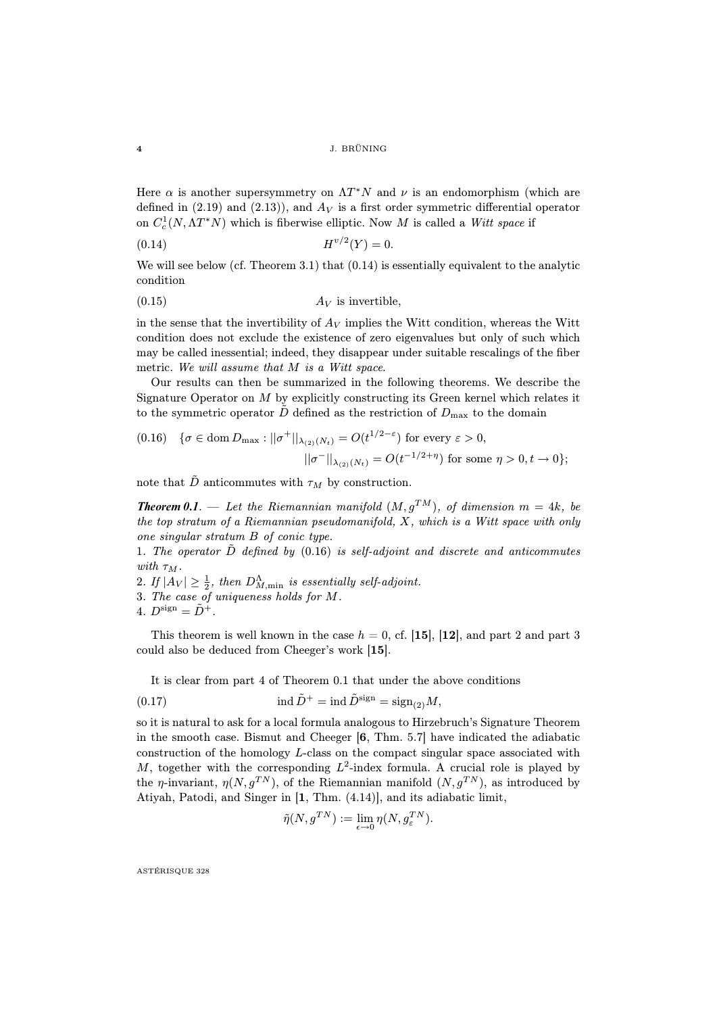Here  $\alpha$  is another supersymmetry on  $\Lambda T^*N$  and  $\nu$  is an endomorphism (which are defined in [\(2.19\)](#page--1-2) and [\(2.13\)](#page--1-3)), and  $A_V$  is a first order symmetric differential operator on  $C_c^1(N, \Lambda T^*N)$  which is fiberwise elliptic. Now M is called a Witt space if

<span id="page-3-0"></span>
$$
(0.14) \t\t H^{v/2}(Y) = 0.
$$

We will see below (cf. Theorem [3.1\)](#page-0-0) that  $(0.14)$  is essentially equivalent to the analytic condition

$$
(0.15) \t\t A_V \t is invertible,
$$

in the sense that the invertibility of  $A_V$  implies the Witt condition, whereas the Witt condition does not exclude the existence of zero eigenvalues but only of such which may be called inessential; indeed, they disappear under suitable rescalings of the fiber metric. We will assume that M is a Witt space.

Our results can then be summarized in the following theorems. We describe the Signature Operator on  $M$  by explicitly constructing its Green kernel which relates it to the symmetric operator D defined as the restriction of  $D_{\text{max}}$  to the domain

<span id="page-3-1"></span>
$$
(0.16) \quad \{ \sigma \in \text{dom } D_{\text{max}} : ||\sigma^+||_{\lambda_{(2)}(N_t)} = O(t^{1/2-\varepsilon}) \text{ for every } \varepsilon > 0, \quad ||\sigma^-||_{\lambda_{(2)}(N_t)} = O(t^{-1/2+\eta}) \text{ for some } \eta > 0, t \to 0 \};
$$

note that  $\tilde{D}$  anticommutes with  $\tau_M$  by construction.

**Theorem 0.1**. — Let the Riemannian manifold  $(M, g^{TM})$ , of dimension  $m = 4k$ , be the top stratum of a Riemannian pseudomanifold, X, which is a Witt space with only one singular stratum B of conic type.

1. The operator  $D$  defined by  $(0.16)$  is self-adjoint and discrete and anticommutes with  $\tau_M$ .

2. If  $|A_V| \geq \frac{1}{2}$ , then  $D^{\Lambda}_{M,\text{min}}$  is essentially self-adjoint.

3. The case of uniqueness holds for M.

4. 
$$
D^{\text{sign}} = \tilde{D}^+
$$
.

This theorem is well known in the case  $h = 0$ , cf. [[15](#page-0-0)], [[12](#page-0-0)], and part 2 and part 3 could also be deduced from Cheeger's work [[15](#page-0-0)].

It is clear from part 4 of Theorem [0.1](#page-0-0) that under the above conditions

(0.17) 
$$
\operatorname{ind} \tilde{D}^+ = \operatorname{ind} \tilde{D}^{\operatorname{sign}} = \operatorname{sign}_{(2)} M,
$$

so it is natural to ask for a local formula analogous to Hirzebruch's Signature Theorem in the smooth case. Bismut and Cheeger [[6](#page-0-0), Thm. 5.7] have indicated the adiabatic construction of the homology L-class on the compact singular space associated with M, together with the corresponding  $L^2$ -index formula. A crucial role is played by the *η*-invariant,  $\eta(N, q^{TN})$ , of the Riemannian manifold  $(N, q^{TN})$ , as introduced by Atiyah, Patodi, and Singer in [[1](#page-0-0), Thm. (4.14)], and its adiabatic limit,

$$
\tilde{\eta}(N, g^{TN}) := \lim_{\epsilon \to 0} \eta(N, g_{\epsilon}^{TN}).
$$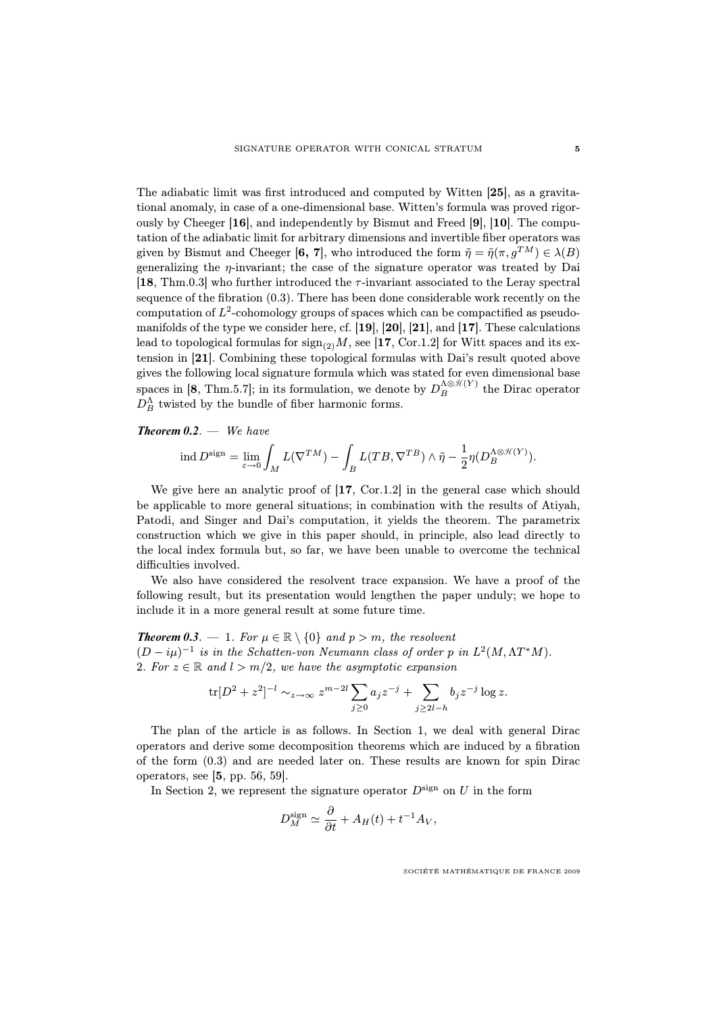The adiabatic limit was first introduced and computed by Witten [[25](#page-0-0)], as a gravitational anomaly, in case of a one-dimensional base. Witten's formula was proved rigorously by Cheeger [[16](#page-0-0)], and independently by Bismut and Freed [[9](#page-0-0)], [[10](#page-0-0)]. The computation of the adiabatic limit for arbitrary dimensions and invertible fiber operators was given by Bismut and Cheeger [[6,](#page-0-0) [7](#page-0-0)], who introduced the form  $\tilde{\eta} = \tilde{\eta}(\pi, g^{TM}) \in \lambda(B)$ generalizing the  $\eta$ -invariant; the case of the signature operator was treated by Dai [[18](#page-0-0), Thm.0.3] who further introduced the  $\tau$ -invariant associated to the Leray spectral sequence of the fibration [\(0.3\)](#page-1-1). There has been done considerable work recently on the computation of  $L^2$ -cohomology groups of spaces which can be compactified as pseudomanifolds of the type we consider here, cf. [[19](#page-0-0)], [[20](#page-0-0)], [[21](#page-0-0)], and [[17](#page-0-0)]. These calculations lead to topological formulas for  $\text{sign}_{(2)}M$ , see [[17](#page-0-0), Cor.1.2] for Witt spaces and its extension in [[21](#page-0-0)]. Combining these topological formulas with Dai's result quoted above gives the following local signature formula which was stated for even dimensional base spaces in [[8](#page-0-0), Thm.5.7]; in its formulation, we denote by  $D_B^{\Lambda \otimes \mathcal{H}(Y)}$  the Dirac operator  $D_B^{\Lambda}$  twisted by the bundle of fiber harmonic forms.

## *Theorem 0.2*. — We have

$$
\operatorname{ind} D^{\operatorname{sign}} = \lim_{\varepsilon \to 0} \int_M L(\nabla^{TM}) - \int_B L(TB, \nabla^{TB}) \wedge \tilde{\eta} - \frac{1}{2} \eta(D^{\Lambda \otimes \mathcal{H}(Y)}_B).
$$

We give here an analytic proof of [[17](#page-0-0), Cor.1.2] in the general case which should be applicable to more general situations; in combination with the results of Atiyah, Patodi, and Singer and Dai's computation, it yields the theorem. The parametrix construction which we give in this paper should, in principle, also lead directly to the local index formula but, so far, we have been unable to overcome the technical difficulties involved.

We also have considered the resolvent trace expansion. We have a proof of the following result, but its presentation would lengthen the paper unduly; we hope to include it in a more general result at some future time.

**Theorem 0.3**. — 1. For  $\mu \in \mathbb{R} \setminus \{0\}$  and  $p > m$ , the resolvent  $(D - i\mu)^{-1}$  is in the Schatten-von Neumann class of order p in  $L^2(M, \Lambda T^*M)$ . 2. For  $z \in \mathbb{R}$  and  $l > m/2$ , we have the asymptotic expansion

$$
\text{tr}[D^2 + z^2]^{-l} \sim_{z \to \infty} z^{m-2l} \sum_{j \ge 0} a_j z^{-j} + \sum_{j \ge 2l - h} b_j z^{-j} \log z.
$$

The plan of the article is as follows. In Section 1, we deal with general Dirac operators and derive some decomposition theorems which are induced by a fibration of the form [\(0.3\)](#page-1-1) and are needed later on. These results are known for spin Dirac operators, see [[5](#page-0-0), pp. 56, 59].

In Section 2, we represent the signature operator  $D^{\text{sign}}$  on U in the form

$$
D_M^{\text{sign}} \simeq \frac{\partial}{\partial t} + A_H(t) + t^{-1} A_V,
$$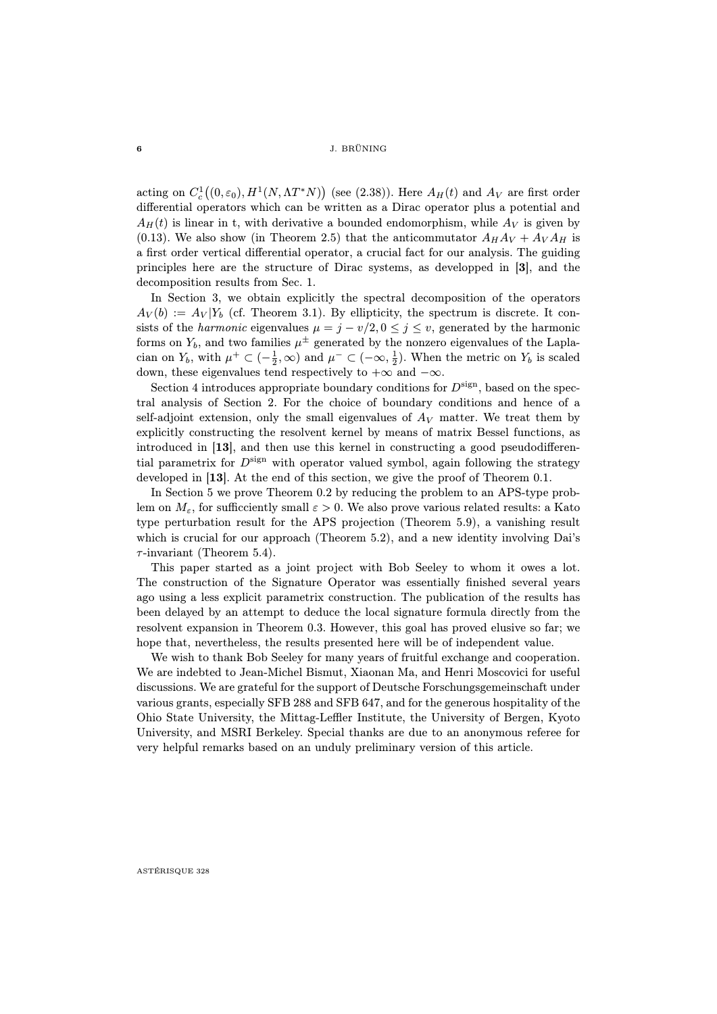### 6 J. BRÜNING

acting on  $C_c^1((0, \varepsilon_0), H^1(N, \Lambda T^*N))$  (see [\(2.38\)](#page--1-4)). Here  $A_H(t)$  and  $A_V$  are first order differential operators which can be written as a Dirac operator plus a potential and  $A_H(t)$  is linear in t, with derivative a bounded endomorphism, while  $A_V$  is given by [\(0.13\)](#page-2-0). We also show (in Theorem [2.5\)](#page-0-0) that the anticommutator  $A_H A_V + A_V A_H$  is a first order vertical differential operator, a crucial fact for our analysis. The guiding principles here are the structure of Dirac systems, as developped in [[3](#page-0-0)], and the decomposition results from Sec. 1.

In Section 3, we obtain explicitly the spectral decomposition of the operators  $A_V(b) := A_V | Y_b$  (cf. Theorem [3.1\)](#page-0-0). By ellipticity, the spectrum is discrete. It consists of the *harmonic* eigenvalues  $\mu = j - v/2, 0 \le j \le v$ , generated by the harmonic forms on  $Y_b$ , and two families  $\mu^{\pm}$  generated by the nonzero eigenvalues of the Laplacian on  $Y_b$ , with  $\mu^+ \subset (-\frac{1}{2}, \infty)$  and  $\mu^- \subset (-\infty, \frac{1}{2})$ . When the metric on  $Y_b$  is scaled down, these eigenvalues tend respectively to  $+\infty$  and  $-\infty$ .

Section 4 introduces appropriate boundary conditions for  $D^{\text{sign}}$ , based on the spectral analysis of Section 2. For the choice of boundary conditions and hence of a self-adjoint extension, only the small eigenvalues of  $A_V$  matter. We treat them by explicitly constructing the resolvent kernel by means of matrix Bessel functions, as introduced in [[13](#page-0-0)], and then use this kernel in constructing a good pseudodifferential parametrix for  $D^{\text{sign}}$  with operator valued symbol, again following the strategy developed in [[13](#page-0-0)]. At the end of this section, we give the proof of Theorem [0.1.](#page-0-0)

In Section 5 we prove Theorem [0.2](#page-0-0) by reducing the problem to an APS-type problem on  $M_{\varepsilon}$ , for sufficciently small  $\varepsilon > 0$ . We also prove various related results: a Kato type perturbation result for the APS projection (Theorem [5.9\)](#page-0-0), a vanishing result which is crucial for our approach (Theorem [5.2\)](#page-0-0), and a new identity involving Dai's  $\tau$ -invariant (Theorem [5.4\)](#page-0-0).

This paper started as a joint project with Bob Seeley to whom it owes a lot. The construction of the Signature Operator was essentially finished several years ago using a less explicit parametrix construction. The publication of the results has been delayed by an attempt to deduce the local signature formula directly from the resolvent expansion in Theorem [0.3.](#page-0-0) However, this goal has proved elusive so far; we hope that, nevertheless, the results presented here will be of independent value.

We wish to thank Bob Seeley for many years of fruitful exchange and cooperation. We are indebted to Jean-Michel Bismut, Xiaonan Ma, and Henri Moscovici for useful discussions. We are grateful for the support of Deutsche Forschungsgemeinschaft under various grants, especially SFB 288 and SFB 647, and for the generous hospitality of the Ohio State University, the Mittag-Leffler Institute, the University of Bergen, Kyoto University, and MSRI Berkeley. Special thanks are due to an anonymous referee for very helpful remarks based on an unduly preliminary version of this article.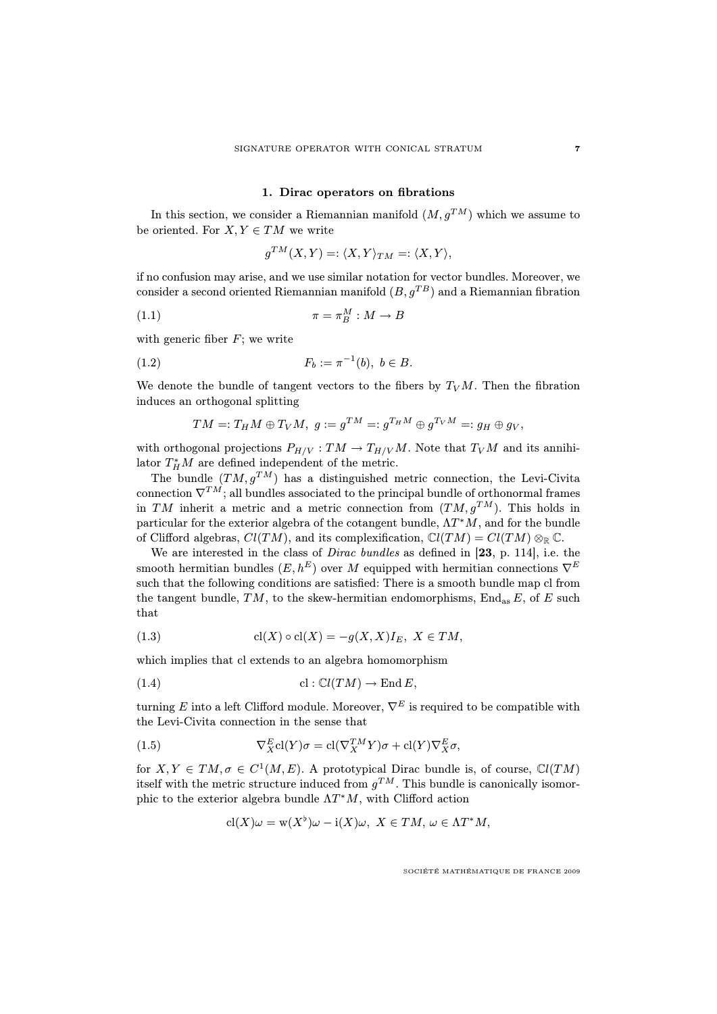## 1. Dirac operators on fibrations

In this section, we consider a Riemannian manifold  $(M, g^{TM})$  which we assume to be oriented. For  $X, Y \in TM$  we write

$$
g^{TM}(X,Y)=:\langle X,Y\rangle_{TM}=:\langle X,Y\rangle,
$$

if no confusion may arise, and we use similar notation for vector bundles. Moreover, we consider a second oriented Riemannian manifold  $(B, g^{TB})$  and a Riemannian fibration

$$
\pi = \pi_B^M : M \to B
$$

with generic fiber  $F$ ; we write

(1.2) 
$$
F_b := \pi^{-1}(b), \ b \in B.
$$

We denote the bundle of tangent vectors to the fibers by  $T_V M$ . Then the fibration induces an orthogonal splitting

$$
TM =: T_H M \oplus T_V M, \ g := g^{TM} =: g^{T_H M} \oplus g^{T_V M} =: g_H \oplus g_V,
$$

with orthogonal projections  $P_{H/V} : TM \to T_{H/V}M$ . Note that  $T_VM$  and its annihilator  $T_H^*M$  are defined independent of the metric.

The bundle  $(TM, g^{TM})$  has a distinguished metric connection, the Levi-Civita connection  $\nabla^{TM}$ ; all bundles associated to the principal bundle of orthonormal frames in TM inherit a metric and a metric connection from  $(TM, g^{TM})$ . This holds in particular for the exterior algebra of the cotangent bundle,  $\Lambda T^*M$ , and for the bundle of Clifford algebras,  $Cl(TM)$ , and its complexification,  $Cl(TM) = Cl(TM) \otimes_{\mathbb{R}} \mathbb{C}$ .

We are interested in the class of Dirac bundles as defined in [[23](#page-0-0), p. 114], i.e. the smooth hermitian bundles  $(E, h^E)$  over M equipped with hermitian connections  $\nabla^E$ such that the following conditions are satisfied: There is a smooth bundle map cl from the tangent bundle, TM, to the skew-hermitian endomorphisms,  $\text{End}_{\text{as}} E$ , of E such that

<span id="page-6-0"></span>(1.3) 
$$
\operatorname{cl}(X)\circ\operatorname{cl}(X)=-g(X,X)I_{E}, X\in TM,
$$

which implies that cl extends to an algebra homomorphism

$$
(1.4) \t\t cl: \mathbb{C}l(TM) \to \text{End }E,
$$

turning E into a left Clifford module. Moreover,  $\nabla^E$  is required to be compatible with the Levi-Civita connection in the sense that

(1.5) 
$$
\nabla_X^E \text{cl}(Y)\sigma = \text{cl}(\nabla_X^{TM} Y)\sigma + \text{cl}(Y)\nabla_X^E \sigma,
$$

for  $X, Y \in TM, \sigma \in C^1(M, E)$ . A prototypical Dirac bundle is, of course,  $Cl(TM)$ itself with the metric structure induced from  $g^{TM}$ . This bundle is canonically isomorphic to the exterior algebra bundle  $\Lambda T^*M$ , with Clifford action

<span id="page-6-1"></span>
$$
cl(X)\omega = w(X^{\flat})\omega - i(X)\omega, \ X \in TM, \ \omega \in \Lambda T^*M,
$$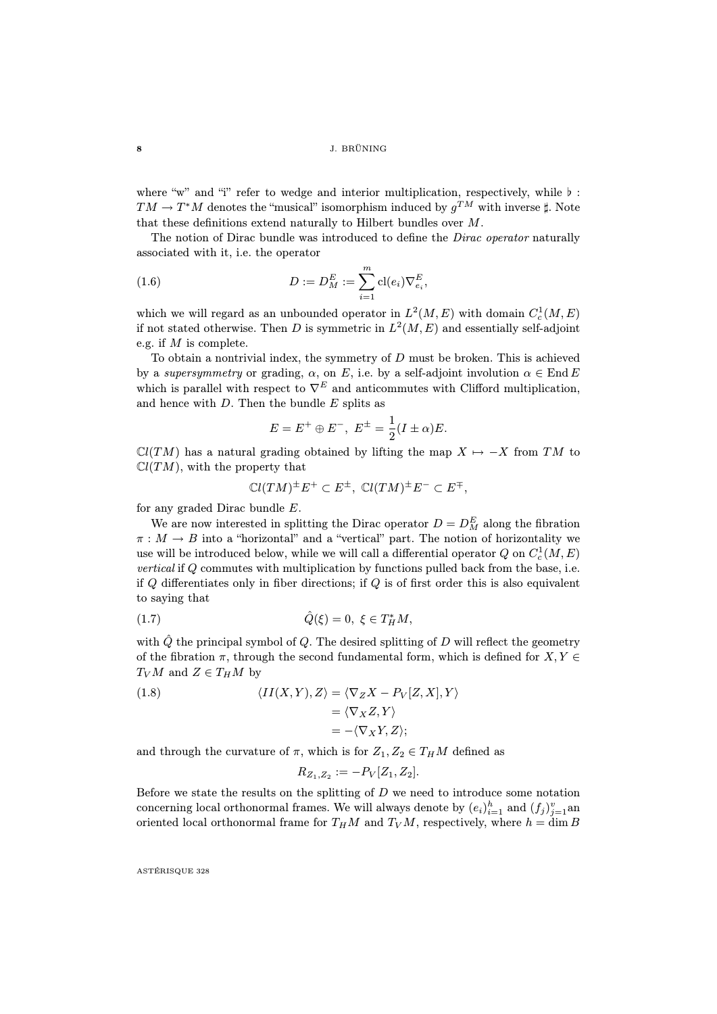where "w" and "i" refer to wedge and interior multiplication, respectively, while  $\flat$ :  $TM \to T^*M$  denotes the "musical" isomorphism induced by  $g^{TM}$  with inverse  $\sharp$ . Note that these definitions extend naturally to Hilbert bundles over M.

The notion of Dirac bundle was introduced to define the *Dirac operator* naturally associated with it, i.e. the operator

(1.6) 
$$
D := D_M^E := \sum_{i=1}^m \text{cl}(e_i) \nabla_{e_i}^E,
$$

which we will regard as an unbounded operator in  $L^2(M, E)$  with domain  $C_c^1(M, E)$ if not stated otherwise. Then D is symmetric in  $L^2(M, E)$  and essentially self-adjoint e.g. if  $M$  is complete.

To obtain a nontrivial index, the symmetry of  $D$  must be broken. This is achieved by a supersymmetry or grading,  $\alpha$ , on E, i.e. by a self-adjoint involution  $\alpha \in \text{End } E$ which is parallel with respect to  $\nabla^E$  and anticommutes with Clifford multiplication, and hence with  $D$ . Then the bundle  $E$  splits as

$$
E = E^+ \oplus E^-, E^{\pm} = \frac{1}{2}(I \pm \alpha)E.
$$

 $\mathbb{C}l(TM)$  has a natural grading obtained by lifting the map  $X \mapsto -X$  from TM to  $Cl(TM)$ , with the property that

$$
\mathbb{C}l(TM)^{\pm}E^{+} \subset E^{\pm}, \ \mathbb{C}l(TM)^{\pm}E^{-} \subset E^{\mp},
$$

for any graded Dirac bundle E.

We are now interested in splitting the Dirac operator  $D = D_M^E$  along the fibration  $\pi : M \to B$  into a "horizontal" and a "vertical" part. The notion of horizontality we use will be introduced below, while we will call a differential operator  $Q$  on  $C^1_c(M,E)$ vertical if Q commutes with multiplication by functions pulled back from the base, i.e. if  $Q$  differentiates only in fiber directions; if  $Q$  is of first order this is also equivalent to saying that

(1.7) 
$$
\hat{Q}(\xi) = 0, \ \xi \in T_H^* M
$$
,

with  $\hat{Q}$  the principal symbol of  $Q$ . The desired splitting of D will reflect the geometry of the fibration  $\pi$ , through the second fundamental form, which is defined for  $X, Y \in$  $T_V M$  and  $Z \in T_H M$  by

(1.8) 
$$
\langle II(X,Y),Z\rangle = \langle \nabla_Z X - P_V[Z,X],Y\rangle
$$

$$
= \langle \nabla_X Z, Y\rangle
$$

$$
= -\langle \nabla_X Y, Z\rangle;
$$

and through the curvature of  $\pi$ , which is for  $Z_1, Z_2 \in T_HM$  defined as

$$
R_{Z_1,Z_2} := -P_V[Z_1,Z_2].
$$

Before we state the results on the splitting of  $D$  we need to introduce some notation concerning local orthonormal frames. We will always denote by  $(e_i)_{i=1}^h$  and  $(f_j)_{j=1}^v$  and oriented local orthonormal frame for  $T_HM$  and  $T_VM$ , respectively, where  $h = \dim B$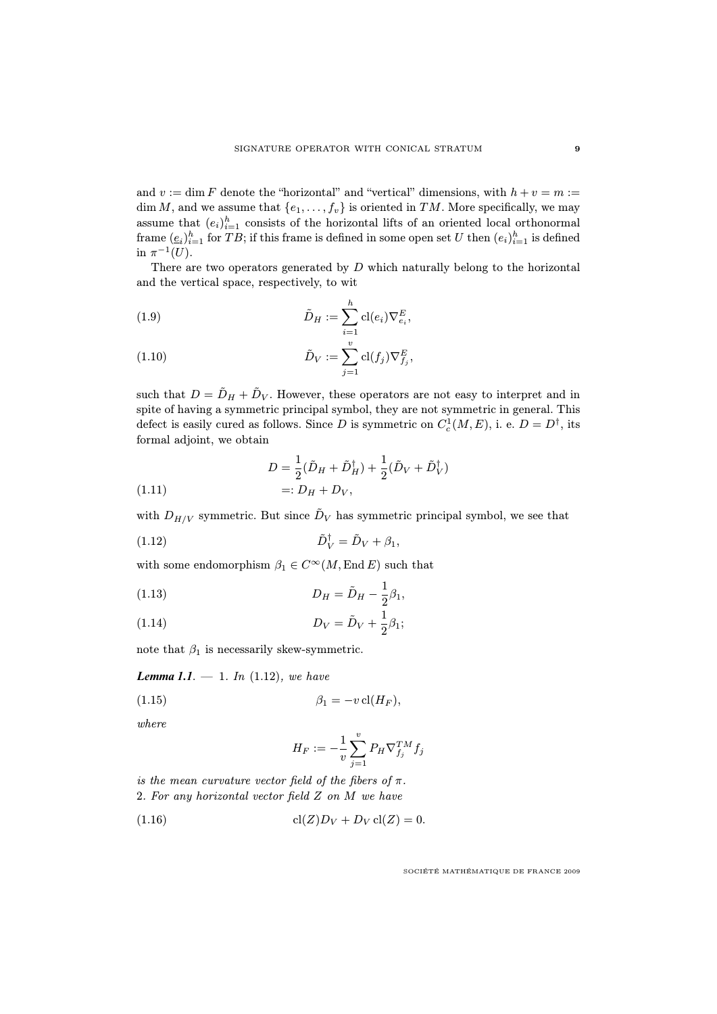and  $v := \dim F$  denote the "horizontal" and "vertical" dimensions, with  $h + v = m :=$ dim M, and we assume that  $\{e_1, \ldots, f_v\}$  is oriented in TM. More specifically, we may assume that  $(e_i)_{i=1}^h$  consists of the horizontal lifts of an oriented local orthonormal frame  $(\underline{e}_i)_{i=1}^h$  for  $TB$ ; if this frame is defined in some open set U then  $(e_i)_{i=1}^h$  is defined in  $\pi^{-1}(U)$ .

There are two operators generated by  $D$  which naturally belong to the horizontal and the vertical space, respectively, to wit

(1.9) 
$$
\tilde{D}_H := \sum_{i=1}^h \mathrm{cl}(e_i) \nabla_{e_i}^E,
$$

(1.10) 
$$
\tilde{D}_V := \sum_{j=1}^v \text{cl}(f_j) \nabla_{f_j}^E,
$$

such that  $D = \tilde{D}_H + \tilde{D}_V$ . However, these operators are not easy to interpret and in spite of having a symmetric principal symbol, they are not symmetric in general. This defect is easily cured as follows. Since D is symmetric on  $C_c^1(M, E)$ , i. e.  $D = D^{\dagger}$ , its formal adjoint, we obtain

<span id="page-8-1"></span>(1.11) 
$$
D = \frac{1}{2}(\tilde{D}_H + \tilde{D}_H^{\dagger}) + \frac{1}{2}(\tilde{D}_V + \tilde{D}_V^{\dagger}) =: D_H + D_V,
$$

with  $D_{H/V}$  symmetric. But since  $\tilde{D}_V$  has symmetric principal symbol, we see that

<span id="page-8-0"></span>
$$
\tilde{D}_V^{\dagger} = \tilde{D}_V + \beta_1,
$$

with some endomorphism  $\beta_1 \in C^{\infty}(M, \text{End } E)$  such that

(1.13) 
$$
D_H = \tilde{D}_H - \frac{1}{2}\beta_1,
$$

(1.14) 
$$
D_V = \tilde{D}_V + \frac{1}{2}\beta_1;
$$

note that  $\beta_1$  is necessarily skew-symmetric.

*Lemma 1.1.*  $- 1$ . In [\(1.12\)](#page-8-0), we have

$$
\beta_1 = -v \operatorname{cl}(H_F),
$$

where

$$
H_F:=-\frac{1}{v}\sum_{j=1}^vP_H\nabla^{TM}_{f_j}f_j
$$

is the mean curvature vector field of the fibers of  $\pi$ .

2. For any horizontal vector field Z on M we have

(1.16) 
$$
cl(Z)D_V + D_V cl(Z) = 0.
$$